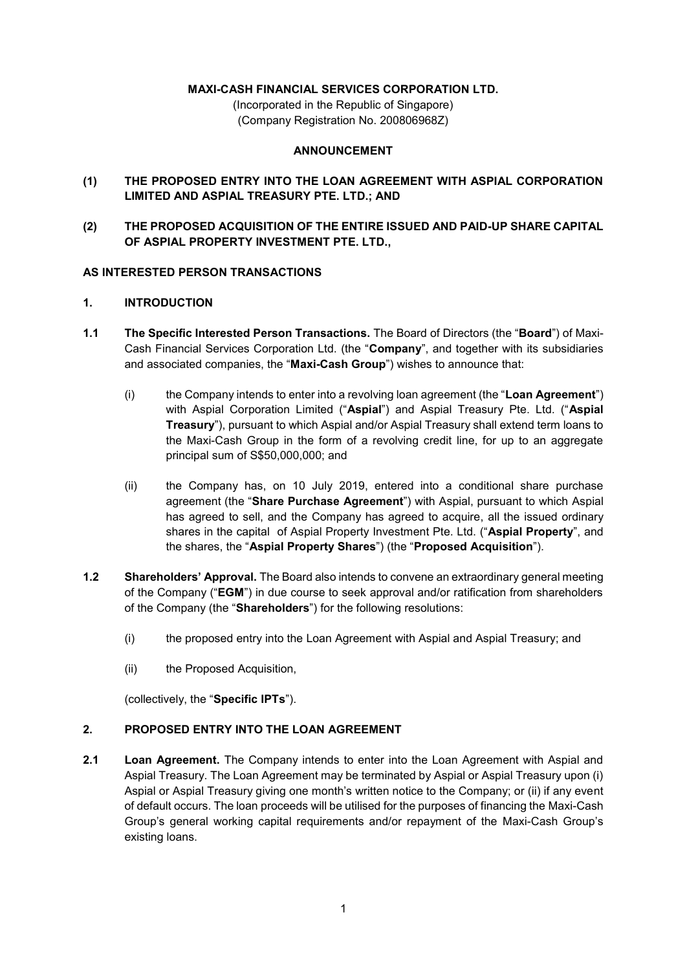## **MAXI-CASH FINANCIAL SERVICES CORPORATION LTD.**

(Incorporated in the Republic of Singapore) (Company Registration No. 200806968Z)

### **ANNOUNCEMENT**

- **(1) THE PROPOSED ENTRY INTO THE LOAN AGREEMENT WITH ASPIAL CORPORATION LIMITED AND ASPIAL TREASURY PTE. LTD.; AND**
- **(2) THE PROPOSED ACQUISITION OF THE ENTIRE ISSUED AND PAID-UP SHARE CAPITAL OF ASPIAL PROPERTY INVESTMENT PTE. LTD.,**

### **AS INTERESTED PERSON TRANSACTIONS**

### **1. INTRODUCTION**

- **1.1 The Specific Interested Person Transactions.** The Board of Directors (the "**Board**") of Maxi-Cash Financial Services Corporation Ltd. (the "**Company**", and together with its subsidiaries and associated companies, the "**Maxi-Cash Group**") wishes to announce that:
	- (i) the Company intends to enter into a revolving loan agreement (the "**Loan Agreement**") with Aspial Corporation Limited ("**Aspial**") and Aspial Treasury Pte. Ltd. ("**Aspial Treasury**"), pursuant to which Aspial and/or Aspial Treasury shall extend term loans to the Maxi-Cash Group in the form of a revolving credit line, for up to an aggregate principal sum of S\$50,000,000; and
	- (ii) the Company has, on 10 July 2019, entered into a conditional share purchase agreement (the "**Share Purchase Agreement**") with Aspial, pursuant to which Aspial has agreed to sell, and the Company has agreed to acquire, all the issued ordinary shares in the capital of Aspial Property Investment Pte. Ltd. ("**Aspial Property**", and the shares, the "**Aspial Property Shares**") (the "**Proposed Acquisition**").
- **1.2 Shareholders' Approval.** The Board also intends to convene an extraordinary general meeting of the Company ("**EGM**") in due course to seek approval and/or ratification from shareholders of the Company (the "**Shareholders**") for the following resolutions:
	- (i) the proposed entry into the Loan Agreement with Aspial and Aspial Treasury; and
	- (ii) the Proposed Acquisition,

(collectively, the "**Specific IPTs**").

### **2. PROPOSED ENTRY INTO THE LOAN AGREEMENT**

**2.1 Loan Agreement.** The Company intends to enter into the Loan Agreement with Aspial and Aspial Treasury. The Loan Agreement may be terminated by Aspial or Aspial Treasury upon (i) Aspial or Aspial Treasury giving one month's written notice to the Company; or (ii) if any event of default occurs. The loan proceeds will be utilised for the purposes of financing the Maxi-Cash Group's general working capital requirements and/or repayment of the Maxi-Cash Group's existing loans.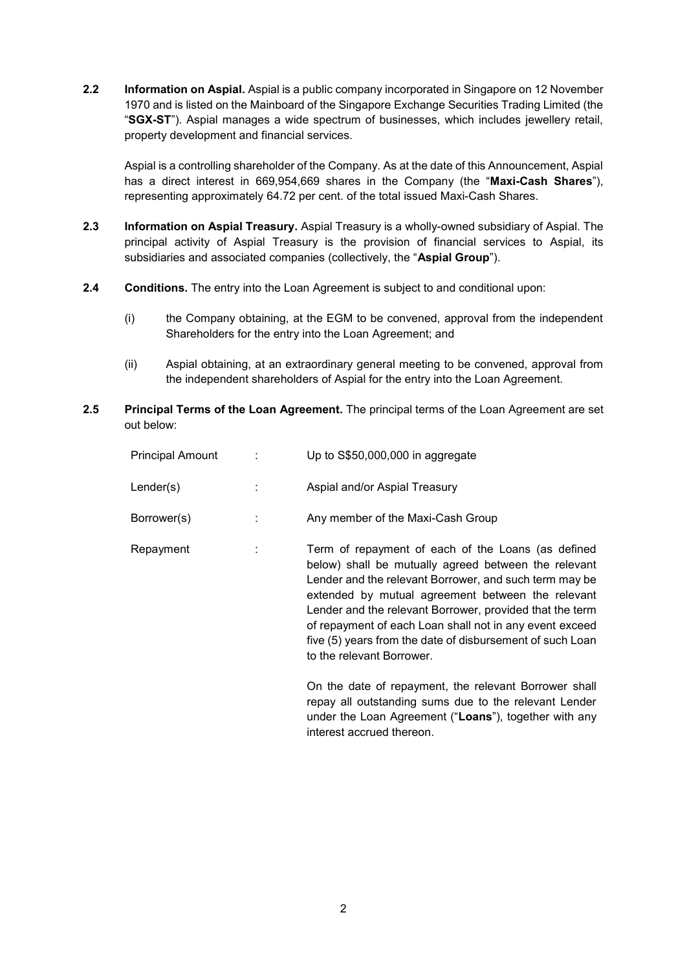**2.2 Information on Aspial.** Aspial is a public company incorporated in Singapore on 12 November 1970 and is listed on the Mainboard of the Singapore Exchange Securities Trading Limited (the "**SGX-ST**"). Aspial manages a wide spectrum of businesses, which includes jewellery retail, property development and financial services.

Aspial is a controlling shareholder of the Company. As at the date of this Announcement, Aspial has a direct interest in 669,954,669 shares in the Company (the "**Maxi-Cash Shares**"), representing approximately 64.72 per cent. of the total issued Maxi-Cash Shares.

- **2.3 Information on Aspial Treasury.** Aspial Treasury is a wholly-owned subsidiary of Aspial. The principal activity of Aspial Treasury is the provision of financial services to Aspial, its subsidiaries and associated companies (collectively, the "**Aspial Group**").
- **2.4 Conditions.** The entry into the Loan Agreement is subject to and conditional upon:
	- (i) the Company obtaining, at the EGM to be convened, approval from the independent Shareholders for the entry into the Loan Agreement; and
	- (ii) Aspial obtaining, at an extraordinary general meeting to be convened, approval from the independent shareholders of Aspial for the entry into the Loan Agreement.
- **2.5 Principal Terms of the Loan Agreement.** The principal terms of the Loan Agreement are set out below:

| Principal Amount | Up to S\$50,000,000 in aggregate                                                                                                                                                                                                                                                                                                                                                                                                           |
|------------------|--------------------------------------------------------------------------------------------------------------------------------------------------------------------------------------------------------------------------------------------------------------------------------------------------------------------------------------------------------------------------------------------------------------------------------------------|
| Lender(s)        | Aspial and/or Aspial Treasury                                                                                                                                                                                                                                                                                                                                                                                                              |
| Borrower(s)      | Any member of the Maxi-Cash Group                                                                                                                                                                                                                                                                                                                                                                                                          |
| Repayment        | Term of repayment of each of the Loans (as defined<br>below) shall be mutually agreed between the relevant<br>Lender and the relevant Borrower, and such term may be<br>extended by mutual agreement between the relevant<br>Lender and the relevant Borrower, provided that the term<br>of repayment of each Loan shall not in any event exceed<br>five (5) years from the date of disbursement of such Loan<br>to the relevant Borrower. |
|                  | On the date of repayment, the relevant Borrower shall<br>repay all outstanding sums due to the relevant Lender<br>under the Loan Agreement ("Loans"), together with any                                                                                                                                                                                                                                                                    |

interest accrued thereon.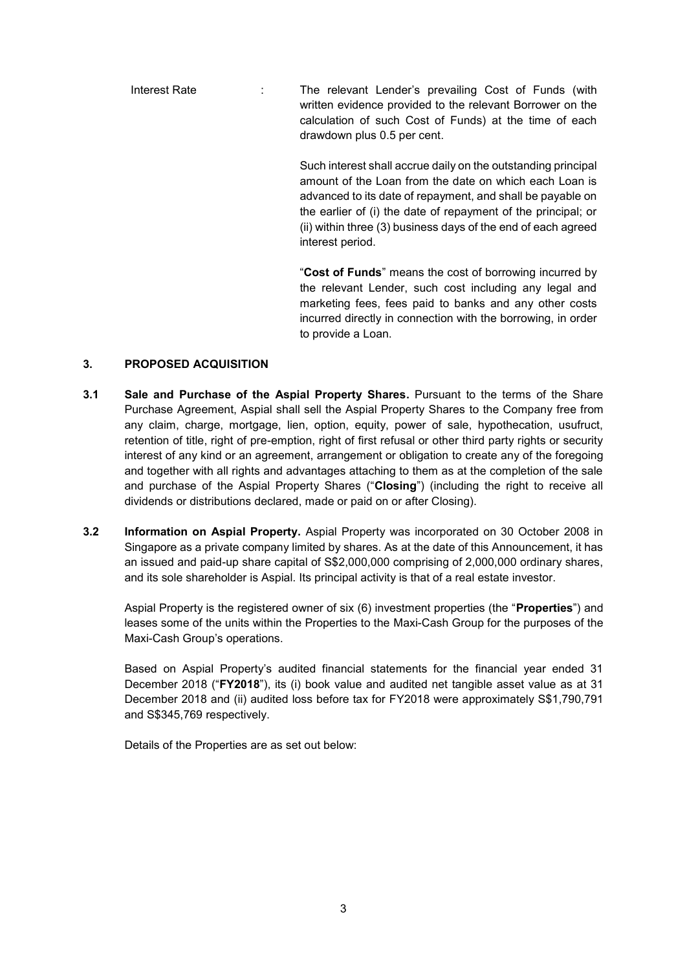Interest Rate : The relevant Lender's prevailing Cost of Funds (with written evidence provided to the relevant Borrower on the calculation of such Cost of Funds) at the time of each drawdown plus 0.5 per cent.

> Such interest shall accrue daily on the outstanding principal amount of the Loan from the date on which each Loan is advanced to its date of repayment, and shall be payable on the earlier of (i) the date of repayment of the principal; or (ii) within three (3) business days of the end of each agreed interest period.

> "**Cost of Funds**" means the cost of borrowing incurred by the relevant Lender, such cost including any legal and marketing fees, fees paid to banks and any other costs incurred directly in connection with the borrowing, in order to provide a Loan.

### **3. PROPOSED ACQUISITION**

- **3.1 Sale and Purchase of the Aspial Property Shares.** Pursuant to the terms of the Share Purchase Agreement, Aspial shall sell the Aspial Property Shares to the Company free from any claim, charge, mortgage, lien, option, equity, power of sale, hypothecation, usufruct, retention of title, right of pre-emption, right of first refusal or other third party rights or security interest of any kind or an agreement, arrangement or obligation to create any of the foregoing and together with all rights and advantages attaching to them as at the completion of the sale and purchase of the Aspial Property Shares ("**Closing**") (including the right to receive all dividends or distributions declared, made or paid on or after Closing).
- **3.2 Information on Aspial Property.** Aspial Property was incorporated on 30 October 2008 in Singapore as a private company limited by shares. As at the date of this Announcement, it has an issued and paid-up share capital of S\$2,000,000 comprising of 2,000,000 ordinary shares, and its sole shareholder is Aspial. Its principal activity is that of a real estate investor.

Aspial Property is the registered owner of six (6) investment properties (the "**Properties**") and leases some of the units within the Properties to the Maxi-Cash Group for the purposes of the Maxi-Cash Group's operations.

Based on Aspial Property's audited financial statements for the financial year ended 31 December 2018 ("**FY2018**"), its (i) book value and audited net tangible asset value as at 31 December 2018 and (ii) audited loss before tax for FY2018 were approximately S\$1,790,791 and S\$345,769 respectively.

Details of the Properties are as set out below: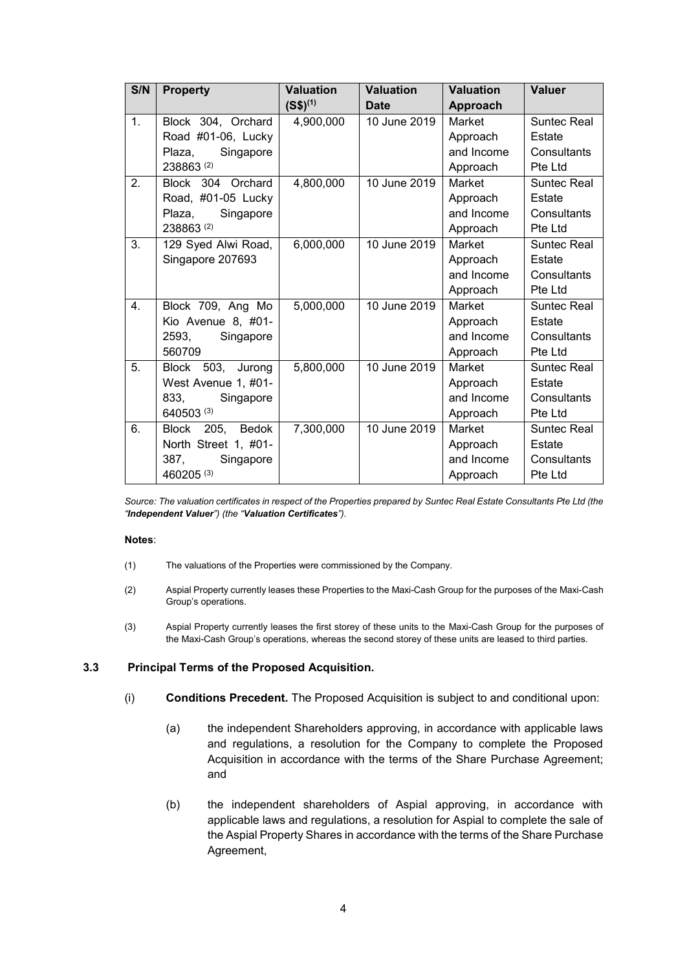| S/N | <b>Property</b>               | <b>Valuation</b> | <b>Valuation</b> | <b>Valuation</b> | <b>Valuer</b>      |
|-----|-------------------------------|------------------|------------------|------------------|--------------------|
|     |                               | $(S$)^{(1)}$     | <b>Date</b>      | Approach         |                    |
| 1.  | Block 304, Orchard            | 4,900,000        | 10 June 2019     | Market           | <b>Suntec Real</b> |
|     | Road #01-06, Lucky            |                  |                  | Approach         | Estate             |
|     | Plaza,<br>Singapore           |                  |                  | and Income       | Consultants        |
|     | 238863(2)                     |                  |                  | Approach         | Pte Ltd            |
| 2.  | Block 304 Orchard             | 4,800,000        | 10 June 2019     | Market           | <b>Suntec Real</b> |
|     | Road, #01-05 Lucky            |                  |                  | Approach         | Estate             |
|     | Plaza,<br>Singapore           |                  |                  | and Income       | Consultants        |
|     | 238863(2)                     |                  |                  | Approach         | Pte Ltd            |
| 3.  | 129 Syed Alwi Road,           | 6,000,000        | 10 June 2019     | Market           | <b>Suntec Real</b> |
|     | Singapore 207693              |                  |                  | Approach         | Estate             |
|     |                               |                  |                  | and Income       | Consultants        |
|     |                               |                  |                  | Approach         | Pte Ltd            |
| 4.  | Block 709, Ang Mo             | 5,000,000        | 10 June 2019     | Market           | <b>Suntec Real</b> |
|     | Kio Avenue 8, #01-            |                  |                  | Approach         | Estate             |
|     | 2593,<br>Singapore            |                  |                  | and Income       | Consultants        |
|     | 560709                        |                  |                  | Approach         | Pte Ltd            |
| 5.  | Block 503, Jurong             | 5,800,000        | 10 June 2019     | Market           | <b>Suntec Real</b> |
|     | West Avenue 1, #01-           |                  |                  | Approach         | Estate             |
|     | 833,<br>Singapore             |                  |                  | and Income       | Consultants        |
|     | 640503 (3)                    |                  |                  | Approach         | Pte Ltd            |
| 6.  | <b>Block</b><br>205,<br>Bedok | 7,300,000        | 10 June 2019     | Market           | <b>Suntec Real</b> |
|     | North Street 1, #01-          |                  |                  | Approach         | Estate             |
|     | 387,<br>Singapore             |                  |                  | and Income       | Consultants        |
|     | 460205 (3)                    |                  |                  | Approach         | Pte Ltd            |

*Source: The valuation certificates in respect of the Properties prepared by Suntec Real Estate Consultants Pte Ltd (the "Independent Valuer") (the "Valuation Certificates").*

#### **Notes**:

- (1) The valuations of the Properties were commissioned by the Company.
- (2) Aspial Property currently leases these Properties to the Maxi-Cash Group for the purposes of the Maxi-Cash Group's operations.
- (3) Aspial Property currently leases the first storey of these units to the Maxi-Cash Group for the purposes of the Maxi-Cash Group's operations, whereas the second storey of these units are leased to third parties.

#### **3.3 Principal Terms of the Proposed Acquisition.**

- (i) **Conditions Precedent.** The Proposed Acquisition is subject to and conditional upon:
	- (a) the independent Shareholders approving, in accordance with applicable laws and regulations, a resolution for the Company to complete the Proposed Acquisition in accordance with the terms of the Share Purchase Agreement; and
	- (b) the independent shareholders of Aspial approving, in accordance with applicable laws and regulations, a resolution for Aspial to complete the sale of the Aspial Property Shares in accordance with the terms of the Share Purchase Agreement,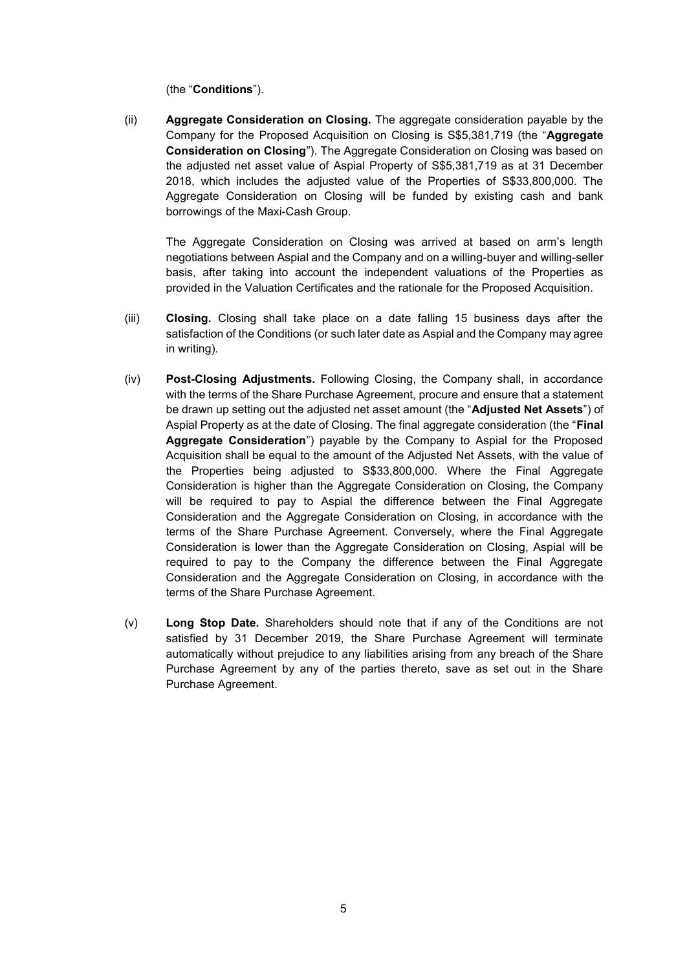(the "**Conditions**").

(ii) **Aggregate Consideration on Closing.** The aggregate consideration payable by the Company for the Proposed Acquisition on Closing is S\$5,381,719 (the "**Aggregate Consideration on Closing**"). The Aggregate Consideration on Closing was based on the adjusted net asset value of Aspial Property of S\$5,381,719 as at 31 December 2018, which includes the adjusted value of the Properties of S\$33,800,000. The Aggregate Consideration on Closing will be funded by existing cash and bank borrowings of the Maxi-Cash Group.

The Aggregate Consideration on Closing was arrived at based on arm's length negotiations between Aspial and the Company and on a willing-buyer and willing-seller basis, after taking into account the independent valuations of the Properties as provided in the Valuation Certificates and the rationale for the Proposed Acquisition.

- (iii) **Closing.** Closing shall take place on a date falling 15 business days after the satisfaction of the Conditions (or such later date as Aspial and the Company may agree in writing).
- (iv) **Post-Closing Adjustments.** Following Closing, the Company shall, in accordance with the terms of the Share Purchase Agreement, procure and ensure that a statement be drawn up setting out the adjusted net asset amount (the "**Adjusted Net Assets**") of Aspial Property as at the date of Closing. The final aggregate consideration (the "**Final Aggregate Consideration**") payable by the Company to Aspial for the Proposed Acquisition shall be equal to the amount of the Adjusted Net Assets, with the value of the Properties being adjusted to S\$33,800,000. Where the Final Aggregate Consideration is higher than the Aggregate Consideration on Closing, the Company will be required to pay to Aspial the difference between the Final Aggregate Consideration and the Aggregate Consideration on Closing, in accordance with the terms of the Share Purchase Agreement. Conversely, where the Final Aggregate Consideration is lower than the Aggregate Consideration on Closing, Aspial will be required to pay to the Company the difference between the Final Aggregate Consideration and the Aggregate Consideration on Closing, in accordance with the terms of the Share Purchase Agreement.
- (v) **Long Stop Date.** Shareholders should note that if any of the Conditions are not satisfied by 31 December 2019, the Share Purchase Agreement will terminate automatically without prejudice to any liabilities arising from any breach of the Share Purchase Agreement by any of the parties thereto, save as set out in the Share Purchase Agreement.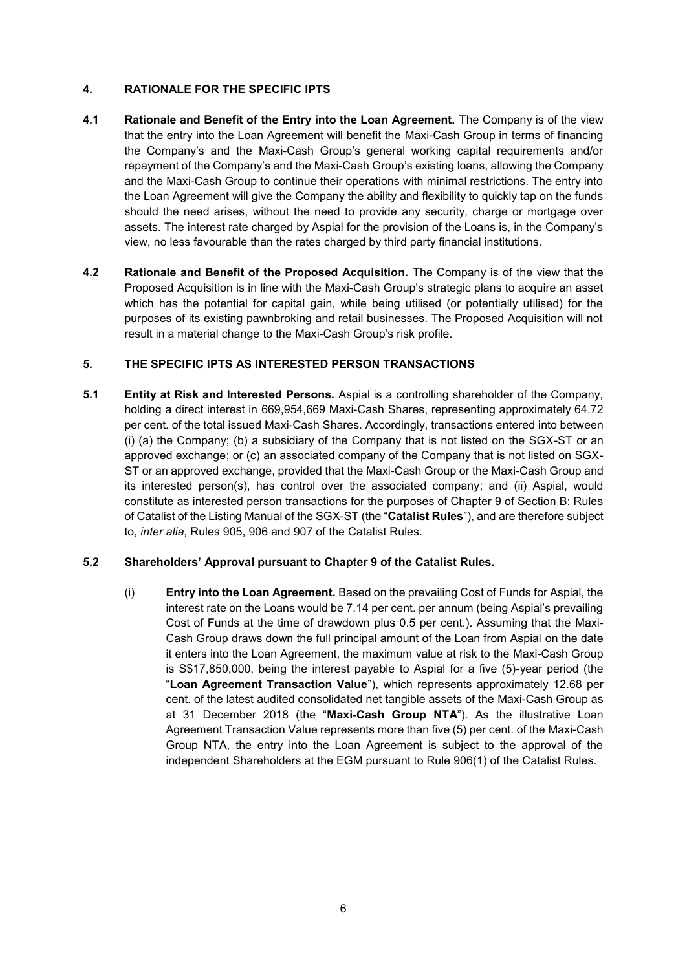# **4. RATIONALE FOR THE SPECIFIC IPTS**

- **4.1 Rationale and Benefit of the Entry into the Loan Agreement.** The Company is of the view that the entry into the Loan Agreement will benefit the Maxi-Cash Group in terms of financing the Company's and the Maxi-Cash Group's general working capital requirements and/or repayment of the Company's and the Maxi-Cash Group's existing loans, allowing the Company and the Maxi-Cash Group to continue their operations with minimal restrictions. The entry into the Loan Agreement will give the Company the ability and flexibility to quickly tap on the funds should the need arises, without the need to provide any security, charge or mortgage over assets. The interest rate charged by Aspial for the provision of the Loans is, in the Company's view, no less favourable than the rates charged by third party financial institutions.
- **4.2 Rationale and Benefit of the Proposed Acquisition.** The Company is of the view that the Proposed Acquisition is in line with the Maxi-Cash Group's strategic plans to acquire an asset which has the potential for capital gain, while being utilised (or potentially utilised) for the purposes of its existing pawnbroking and retail businesses. The Proposed Acquisition will not result in a material change to the Maxi-Cash Group's risk profile.

# **5. THE SPECIFIC IPTS AS INTERESTED PERSON TRANSACTIONS**

**5.1 Entity at Risk and Interested Persons.** Aspial is a controlling shareholder of the Company, holding a direct interest in 669,954,669 Maxi-Cash Shares, representing approximately 64.72 per cent. of the total issued Maxi-Cash Shares. Accordingly, transactions entered into between (i) (a) the Company; (b) a subsidiary of the Company that is not listed on the SGX-ST or an approved exchange; or (c) an associated company of the Company that is not listed on SGX-ST or an approved exchange, provided that the Maxi-Cash Group or the Maxi-Cash Group and its interested person(s), has control over the associated company; and (ii) Aspial, would constitute as interested person transactions for the purposes of Chapter 9 of Section B: Rules of Catalist of the Listing Manual of the SGX-ST (the "**Catalist Rules**"), and are therefore subject to, *inter alia*, Rules 905, 906 and 907 of the Catalist Rules.

# **5.2 Shareholders' Approval pursuant to Chapter 9 of the Catalist Rules.**

(i) **Entry into the Loan Agreement.** Based on the prevailing Cost of Funds for Aspial, the interest rate on the Loans would be 7.14 per cent. per annum (being Aspial's prevailing Cost of Funds at the time of drawdown plus 0.5 per cent.). Assuming that the Maxi-Cash Group draws down the full principal amount of the Loan from Aspial on the date it enters into the Loan Agreement, the maximum value at risk to the Maxi-Cash Group is S\$17,850,000, being the interest payable to Aspial for a five (5)-year period (the "**Loan Agreement Transaction Value**"), which represents approximately 12.68 per cent. of the latest audited consolidated net tangible assets of the Maxi-Cash Group as at 31 December 2018 (the "**Maxi-Cash Group NTA**"). As the illustrative Loan Agreement Transaction Value represents more than five (5) per cent. of the Maxi-Cash Group NTA, the entry into the Loan Agreement is subject to the approval of the independent Shareholders at the EGM pursuant to Rule 906(1) of the Catalist Rules.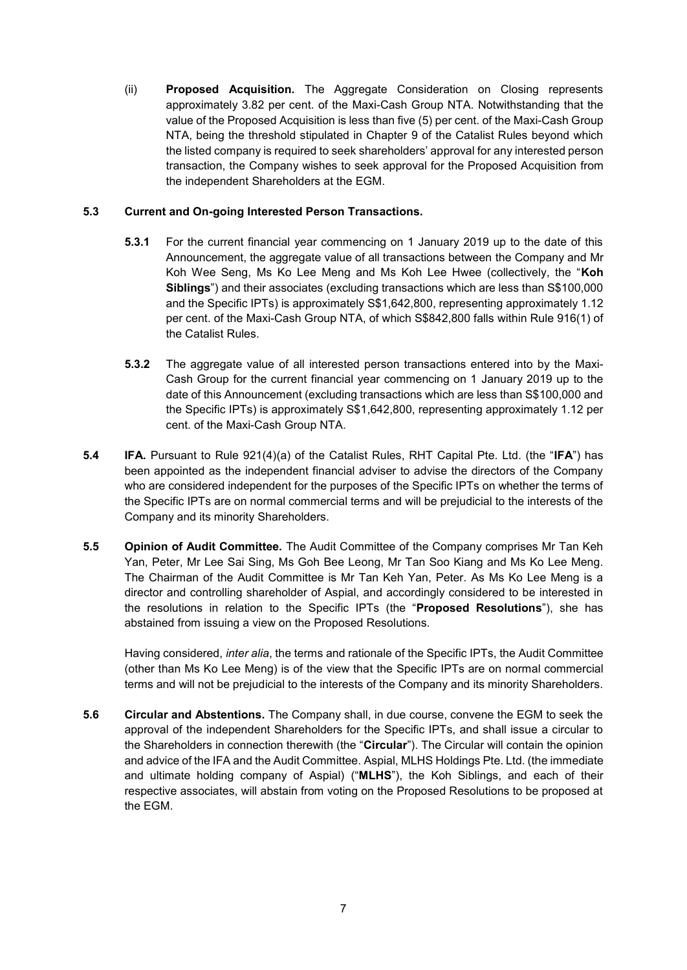(ii) **Proposed Acquisition.** The Aggregate Consideration on Closing represents approximately 3.82 per cent. of the Maxi-Cash Group NTA. Notwithstanding that the value of the Proposed Acquisition is less than five (5) per cent. of the Maxi-Cash Group NTA, being the threshold stipulated in Chapter 9 of the Catalist Rules beyond which the listed company is required to seek shareholders' approval for any interested person transaction, the Company wishes to seek approval for the Proposed Acquisition from the independent Shareholders at the EGM.

# **5.3 Current and On-going Interested Person Transactions.**

- **5.3.1** For the current financial year commencing on 1 January 2019 up to the date of this Announcement, the aggregate value of all transactions between the Company and Mr Koh Wee Seng, Ms Ko Lee Meng and Ms Koh Lee Hwee (collectively, the "**Koh Siblings**") and their associates (excluding transactions which are less than S\$100,000 and the Specific IPTs) is approximately S\$1,642,800, representing approximately 1.12 per cent. of the Maxi-Cash Group NTA, of which S\$842,800 falls within Rule 916(1) of the Catalist Rules.
- **5.3.2** The aggregate value of all interested person transactions entered into by the Maxi-Cash Group for the current financial year commencing on 1 January 2019 up to the date of this Announcement (excluding transactions which are less than S\$100,000 and the Specific IPTs) is approximately S\$1,642,800, representing approximately 1.12 per cent. of the Maxi-Cash Group NTA.
- **5.4 IFA.** Pursuant to Rule 921(4)(a) of the Catalist Rules, RHT Capital Pte. Ltd. (the "**IFA**") has been appointed as the independent financial adviser to advise the directors of the Company who are considered independent for the purposes of the Specific IPTs on whether the terms of the Specific IPTs are on normal commercial terms and will be prejudicial to the interests of the Company and its minority Shareholders.
- **5.5 Opinion of Audit Committee.** The Audit Committee of the Company comprises Mr Tan Keh Yan, Peter, Mr Lee Sai Sing, Ms Goh Bee Leong, Mr Tan Soo Kiang and Ms Ko Lee Meng. The Chairman of the Audit Committee is Mr Tan Keh Yan, Peter. As Ms Ko Lee Meng is a director and controlling shareholder of Aspial, and accordingly considered to be interested in the resolutions in relation to the Specific IPTs (the "**Proposed Resolutions**"), she has abstained from issuing a view on the Proposed Resolutions.

Having considered, *inter alia*, the terms and rationale of the Specific IPTs, the Audit Committee (other than Ms Ko Lee Meng) is of the view that the Specific IPTs are on normal commercial terms and will not be prejudicial to the interests of the Company and its minority Shareholders.

**5.6 Circular and Abstentions.** The Company shall, in due course, convene the EGM to seek the approval of the independent Shareholders for the Specific IPTs, and shall issue a circular to the Shareholders in connection therewith (the "**Circular**"). The Circular will contain the opinion and advice of the IFA and the Audit Committee. Aspial, MLHS Holdings Pte. Ltd. (the immediate and ultimate holding company of Aspial) ("**MLHS**"), the Koh Siblings, and each of their respective associates, will abstain from voting on the Proposed Resolutions to be proposed at the EGM.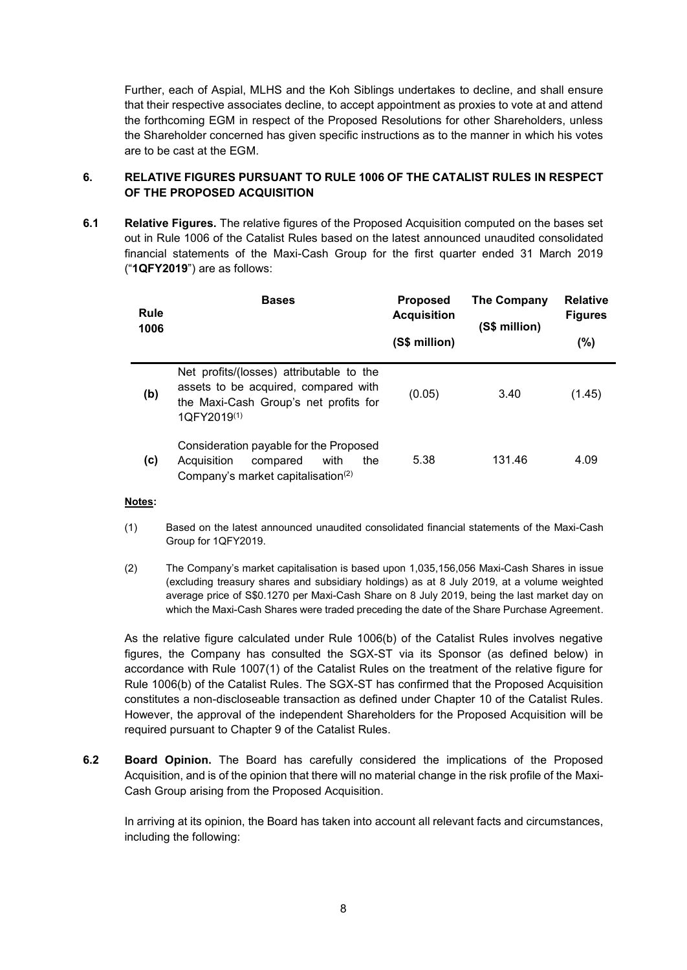Further, each of Aspial, MLHS and the Koh Siblings undertakes to decline, and shall ensure that their respective associates decline, to accept appointment as proxies to vote at and attend the forthcoming EGM in respect of the Proposed Resolutions for other Shareholders, unless the Shareholder concerned has given specific instructions as to the manner in which his votes are to be cast at the EGM.

# **6. RELATIVE FIGURES PURSUANT TO RULE 1006 OF THE CATALIST RULES IN RESPECT OF THE PROPOSED ACQUISITION**

**6.1 Relative Figures.** The relative figures of the Proposed Acquisition computed on the bases set out in Rule 1006 of the Catalist Rules based on the latest announced unaudited consolidated financial statements of the Maxi-Cash Group for the first quarter ended 31 March 2019 ("**1QFY2019**") are as follows:

| Rule<br>1006 | <b>Bases</b>                                                                                                                                         | <b>Proposed</b><br><b>Acquisition</b><br>(S\$ million) | The Company<br>(S\$ million) | <b>Relative</b><br><b>Figures</b><br>(%) |
|--------------|------------------------------------------------------------------------------------------------------------------------------------------------------|--------------------------------------------------------|------------------------------|------------------------------------------|
| (b)          | Net profits/(losses) attributable to the<br>assets to be acquired, compared with<br>the Maxi-Cash Group's net profits for<br>1QFY2019 <sup>(1)</sup> | (0.05)                                                 | 3.40                         | (1.45)                                   |
| (c)          | Consideration payable for the Proposed<br>Acquisition<br>with<br>the<br>compared<br>Company's market capitalisation <sup>(2)</sup>                   | 5.38                                                   | 131.46                       | 4.09                                     |

**Notes:**

- (1) Based on the latest announced unaudited consolidated financial statements of the Maxi-Cash Group for 1QFY2019.
- (2) The Company's market capitalisation is based upon 1,035,156,056 Maxi-Cash Shares in issue (excluding treasury shares and subsidiary holdings) as at 8 July 2019, at a volume weighted average price of S\$0.1270 per Maxi-Cash Share on 8 July 2019, being the last market day on which the Maxi-Cash Shares were traded preceding the date of the Share Purchase Agreement.

As the relative figure calculated under Rule 1006(b) of the Catalist Rules involves negative figures, the Company has consulted the SGX-ST via its Sponsor (as defined below) in accordance with Rule 1007(1) of the Catalist Rules on the treatment of the relative figure for Rule 1006(b) of the Catalist Rules. The SGX-ST has confirmed that the Proposed Acquisition constitutes a non-discloseable transaction as defined under Chapter 10 of the Catalist Rules. However, the approval of the independent Shareholders for the Proposed Acquisition will be required pursuant to Chapter 9 of the Catalist Rules.

**6.2 Board Opinion.** The Board has carefully considered the implications of the Proposed Acquisition, and is of the opinion that there will no material change in the risk profile of the Maxi-Cash Group arising from the Proposed Acquisition.

In arriving at its opinion, the Board has taken into account all relevant facts and circumstances, including the following: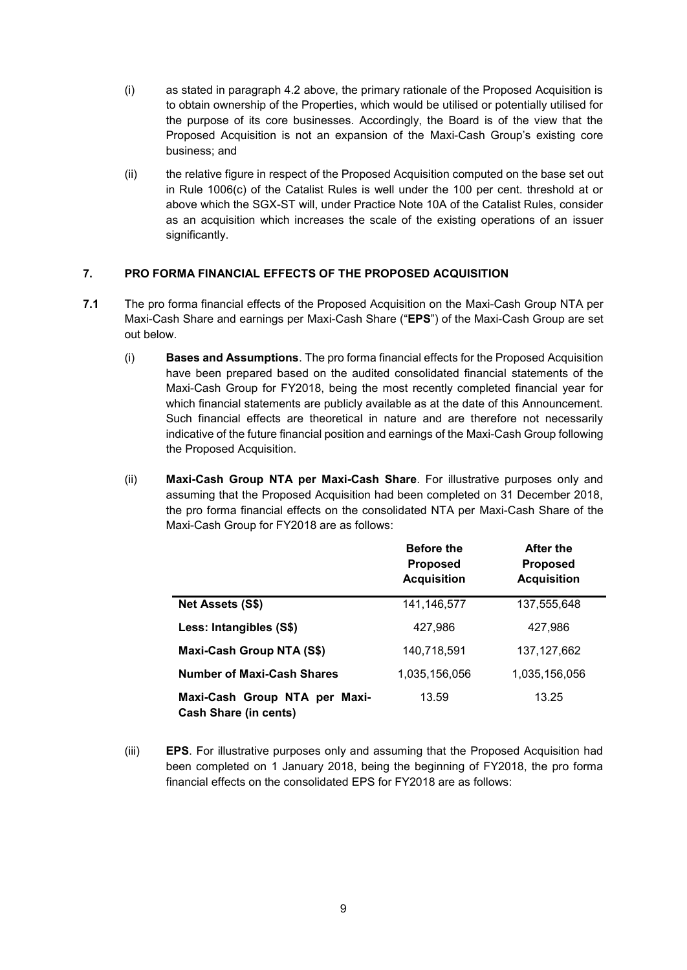- (i) as stated in paragraph 4.2 above, the primary rationale of the Proposed Acquisition is to obtain ownership of the Properties, which would be utilised or potentially utilised for the purpose of its core businesses. Accordingly, the Board is of the view that the Proposed Acquisition is not an expansion of the Maxi-Cash Group's existing core business; and
- (ii) the relative figure in respect of the Proposed Acquisition computed on the base set out in Rule 1006(c) of the Catalist Rules is well under the 100 per cent. threshold at or above which the SGX-ST will, under Practice Note 10A of the Catalist Rules, consider as an acquisition which increases the scale of the existing operations of an issuer significantly.

# **7. PRO FORMA FINANCIAL EFFECTS OF THE PROPOSED ACQUISITION**

- **7.1** The pro forma financial effects of the Proposed Acquisition on the Maxi-Cash Group NTA per Maxi-Cash Share and earnings per Maxi-Cash Share ("**EPS**") of the Maxi-Cash Group are set out below.
	- (i) **Bases and Assumptions**. The pro forma financial effects for the Proposed Acquisition have been prepared based on the audited consolidated financial statements of the Maxi-Cash Group for FY2018, being the most recently completed financial year for which financial statements are publicly available as at the date of this Announcement. Such financial effects are theoretical in nature and are therefore not necessarily indicative of the future financial position and earnings of the Maxi-Cash Group following the Proposed Acquisition.
	- (ii) **Maxi-Cash Group NTA per Maxi-Cash Share**. For illustrative purposes only and assuming that the Proposed Acquisition had been completed on 31 December 2018, the pro forma financial effects on the consolidated NTA per Maxi-Cash Share of the Maxi-Cash Group for FY2018 are as follows:

|                                                               | <b>Before the</b><br><b>Proposed</b><br><b>Acquisition</b> | After the<br><b>Proposed</b><br><b>Acquisition</b> |
|---------------------------------------------------------------|------------------------------------------------------------|----------------------------------------------------|
| Net Assets (S\$)                                              | 141,146,577                                                | 137,555,648                                        |
| Less: Intangibles (S\$)                                       | 427.986                                                    | 427,986                                            |
| Maxi-Cash Group NTA (S\$)                                     | 140,718,591                                                | 137, 127, 662                                      |
| Number of Maxi-Cash Shares                                    | 1,035,156,056                                              | 1,035,156,056                                      |
| Maxi-Cash Group NTA per Maxi-<br><b>Cash Share (in cents)</b> | 13.59                                                      | 13.25                                              |

(iii) **EPS**. For illustrative purposes only and assuming that the Proposed Acquisition had been completed on 1 January 2018, being the beginning of FY2018, the pro forma financial effects on the consolidated EPS for FY2018 are as follows: